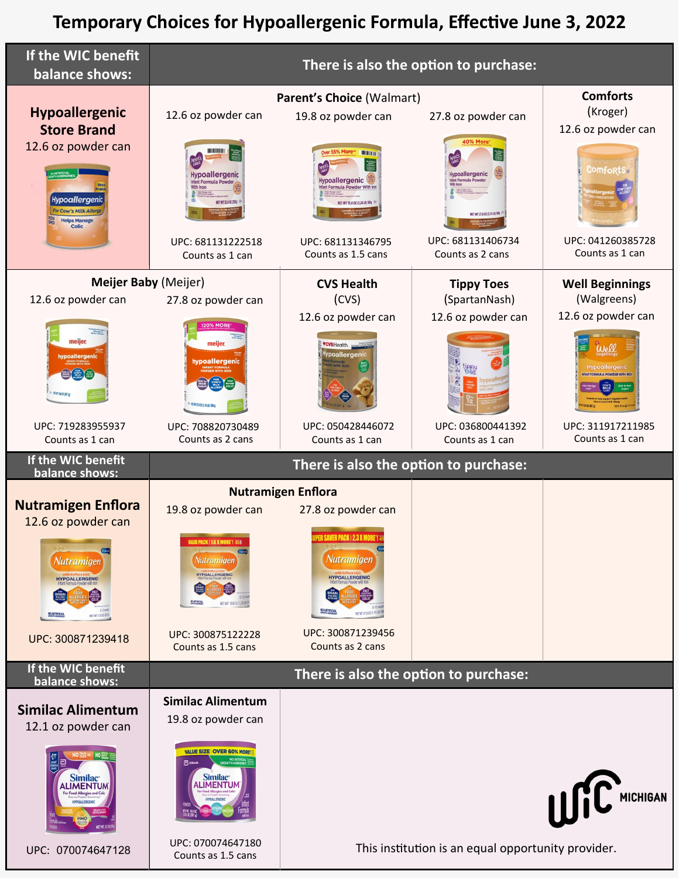## **Temporary Choices for Hypoallergenic Formula, Effective June 3, 2022**

| If the WIC benefit<br>balance shows:                                                                                                         | There is also the option to purchase:                                                                                                                                                    |                                                                                                                                                                                           |                                                                                                                                                       |                                                                                                               |
|----------------------------------------------------------------------------------------------------------------------------------------------|------------------------------------------------------------------------------------------------------------------------------------------------------------------------------------------|-------------------------------------------------------------------------------------------------------------------------------------------------------------------------------------------|-------------------------------------------------------------------------------------------------------------------------------------------------------|---------------------------------------------------------------------------------------------------------------|
| <b>Hypoallergenic</b><br><b>Store Brand</b><br>12.6 oz powder can<br>Hypoallergenia<br>For Cow's Milk Allerg<br><b>Helps Manage</b><br>Colic | 12.6 oz powder can<br><b>Hypoallergenic</b><br>NET WT 12.6 02 (35/g)<br>UPC: 681131222518<br>Counts as 1 can                                                                             | Parent's Choice (Walmart)<br>19.8 oz powder can<br>er 55% More"<br><b>TILLET</b><br>I<br><b>Hypoallergenic</b><br>VET WT 19.8 0Z (1.24 LB) 56N<br>UPC: 681131346795<br>Counts as 1.5 cans | 27.8 oz powder can<br>40% More<br><b>Hypoallergenic</b><br>lant Formula Powde<br>ET WT 27.8 02 (1.74 LB) 78R<br>UPC: 681131406734<br>Counts as 2 cans | <b>Comforts</b><br>(Kroger)<br>12.6 oz powder can<br><b>Comforts:</b><br>UPC: 041260385728<br>Counts as 1 can |
| Meijer Baby (Meijer)<br>12.6 oz powder can                                                                                                   | 27.8 oz powder can                                                                                                                                                                       | <b>CVS Health</b><br>(CVS)                                                                                                                                                                | <b>Tippy Toes</b><br>(SpartanNash)                                                                                                                    | <b>Well Beginnings</b><br>(Walgreens)                                                                         |
| meijer<br>hypoallergenic<br><b>ET VT 12.6 02 (357 g)</b>                                                                                     | <i>meijer.</i><br>hypoallergenic<br><b>临前容易提供及LB(786</b>                                                                                                                                 | 12.6 oz powder can<br><b>CVSHealth.</b> server<br>Hypoallergenic                                                                                                                          | 12.6 oz powder can                                                                                                                                    | 12.6 oz powder can<br><b>Hypoallergenic</b><br>FORMULA POWDER WITH RO                                         |
| UPC: 719283955937<br>Counts as 1 can                                                                                                         | UPC: 708820730489<br>Counts as 2 cans                                                                                                                                                    | UPC: 050428446072<br>Counts as 1 can                                                                                                                                                      | UPC: 036800441392<br>Counts as 1 can                                                                                                                  | UPC: 311917211985<br>Counts as 1 can                                                                          |
| If the WIC benefit                                                                                                                           | There is also the option to purchase:                                                                                                                                                    |                                                                                                                                                                                           |                                                                                                                                                       |                                                                                                               |
| balance shows:                                                                                                                               |                                                                                                                                                                                          |                                                                                                                                                                                           |                                                                                                                                                       |                                                                                                               |
| <b>Nutramigen Enflora</b><br>12.6 oz powder can                                                                                              | 19.8 oz powder can                                                                                                                                                                       | <b>Nutramigen Enflora</b><br>27.8 oz powder can<br>CAVER DAPK 193 Y MADE                                                                                                                  |                                                                                                                                                       |                                                                                                               |
| Nutramigen<br><b>HYPOALLERGENIC</b><br>NET WT 12.6 02 0674                                                                                   | <b>VALUE PACK   1.6 X MORE'! -35A</b><br>Nutramigen<br><b>HYPOALLERGENIC</b><br><b>MOARTERCH</b><br>NET WT 19.8 02 (1.24LB)                                                              | Nutramigen<br><b>HYPOALLERGENIC</b><br>NO ARTIFICIA<br>NETWT 27.8 02 (1.74 LB)                                                                                                            |                                                                                                                                                       |                                                                                                               |
| UPC: 300871239418                                                                                                                            | UPC: 300875122228<br>Counts as 1.5 cans                                                                                                                                                  | UPC: 300871239456<br>Counts as 2 cans                                                                                                                                                     |                                                                                                                                                       |                                                                                                               |
| If the WIC benefit<br>balance shows:                                                                                                         |                                                                                                                                                                                          | There is also the option to purchase:                                                                                                                                                     |                                                                                                                                                       |                                                                                                               |
| <b>Similac Alimentum</b><br>12.1 oz powder can                                                                                               | <b>Similac Alimentum</b><br>19.8 oz powder can                                                                                                                                           |                                                                                                                                                                                           |                                                                                                                                                       |                                                                                                               |
| NO<br>Similac <sup>®</sup><br>ALIMENTUM                                                                                                      | <b>VALUE SIZE OVER 60% MORE!</b><br>NO ARTIFIC<br>OWTH HORMO<br><b>己</b> Abbott<br>Similac <sup>®</sup><br>ALIMENTUM<br><b>IET VT. 19.8 02</b><br>  (231 LE) 1561 d<br>UPC: 070074647180 |                                                                                                                                                                                           |                                                                                                                                                       | USC <sup>MICHIGAN</sup>                                                                                       |